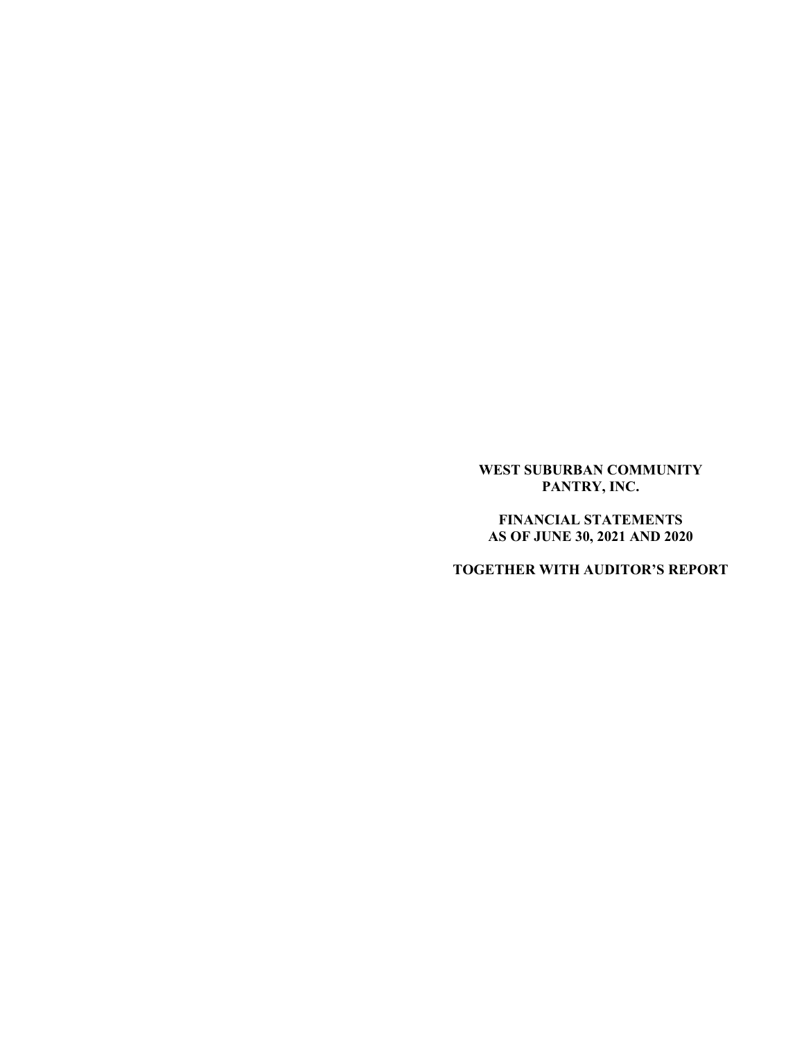# **WEST SUBURBAN COMMUNITY PANTRY, INC.**

**FINANCIAL STATEMENTS AS OF JUNE 30, 2021 AND 2020** 

**TOGETHER WITH AUDITOR'S REPORT**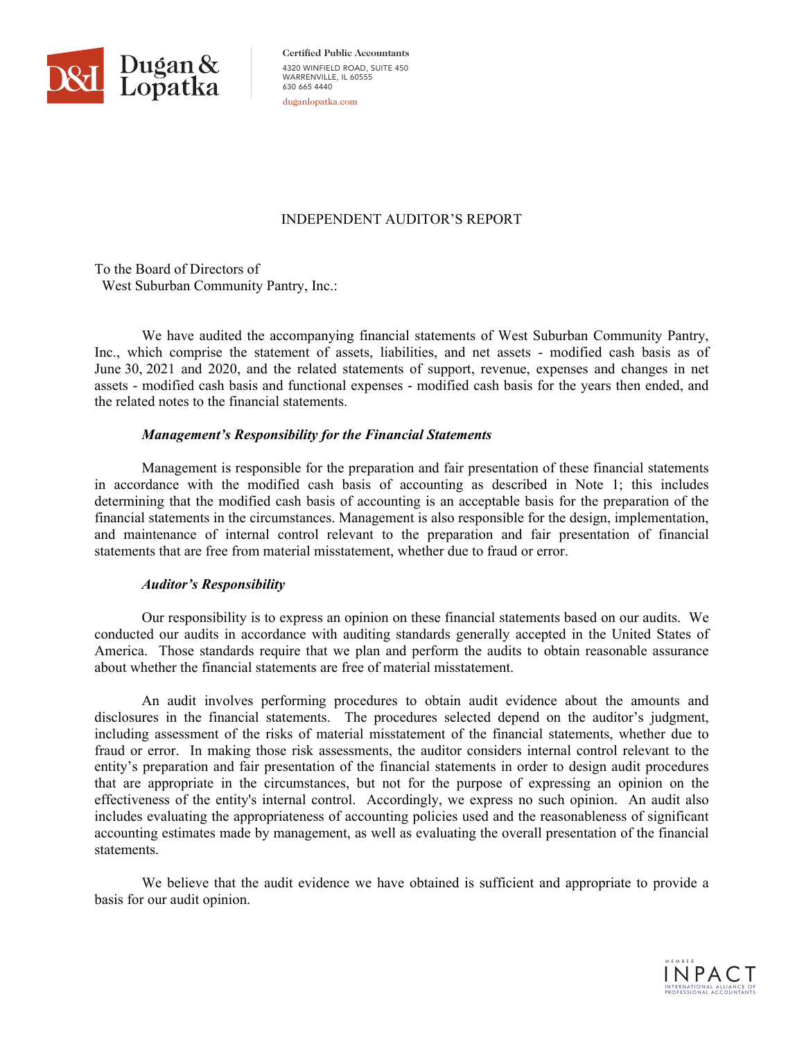

**Certified Public Accountants** 4320 WINFIELD ROAD, SUITE 450 WARRENVILLE, IL 60555 630 665 4440 duganlopatka.com

# INDEPENDENT AUDITOR'S REPORT

To the Board of Directors of West Suburban Community Pantry, Inc.:

 We have audited the accompanying financial statements of West Suburban Community Pantry, Inc., which comprise the statement of assets, liabilities, and net assets - modified cash basis as of June 30, 2021 and 2020, and the related statements of support, revenue, expenses and changes in net assets - modified cash basis and functional expenses - modified cash basis for the years then ended, and the related notes to the financial statements.

## *Management's Responsibility for the Financial Statements*

 Management is responsible for the preparation and fair presentation of these financial statements in accordance with the modified cash basis of accounting as described in Note 1; this includes determining that the modified cash basis of accounting is an acceptable basis for the preparation of the financial statements in the circumstances. Management is also responsible for the design, implementation, and maintenance of internal control relevant to the preparation and fair presentation of financial statements that are free from material misstatement, whether due to fraud or error.

## *Auditor's Responsibility*

 Our responsibility is to express an opinion on these financial statements based on our audits. We conducted our audits in accordance with auditing standards generally accepted in the United States of America. Those standards require that we plan and perform the audits to obtain reasonable assurance about whether the financial statements are free of material misstatement.

 An audit involves performing procedures to obtain audit evidence about the amounts and disclosures in the financial statements. The procedures selected depend on the auditor's judgment, including assessment of the risks of material misstatement of the financial statements, whether due to fraud or error. In making those risk assessments, the auditor considers internal control relevant to the entity's preparation and fair presentation of the financial statements in order to design audit procedures that are appropriate in the circumstances, but not for the purpose of expressing an opinion on the effectiveness of the entity's internal control. Accordingly, we express no such opinion. An audit also includes evaluating the appropriateness of accounting policies used and the reasonableness of significant accounting estimates made by management, as well as evaluating the overall presentation of the financial statements.

 We believe that the audit evidence we have obtained is sufficient and appropriate to provide a basis for our audit opinion.

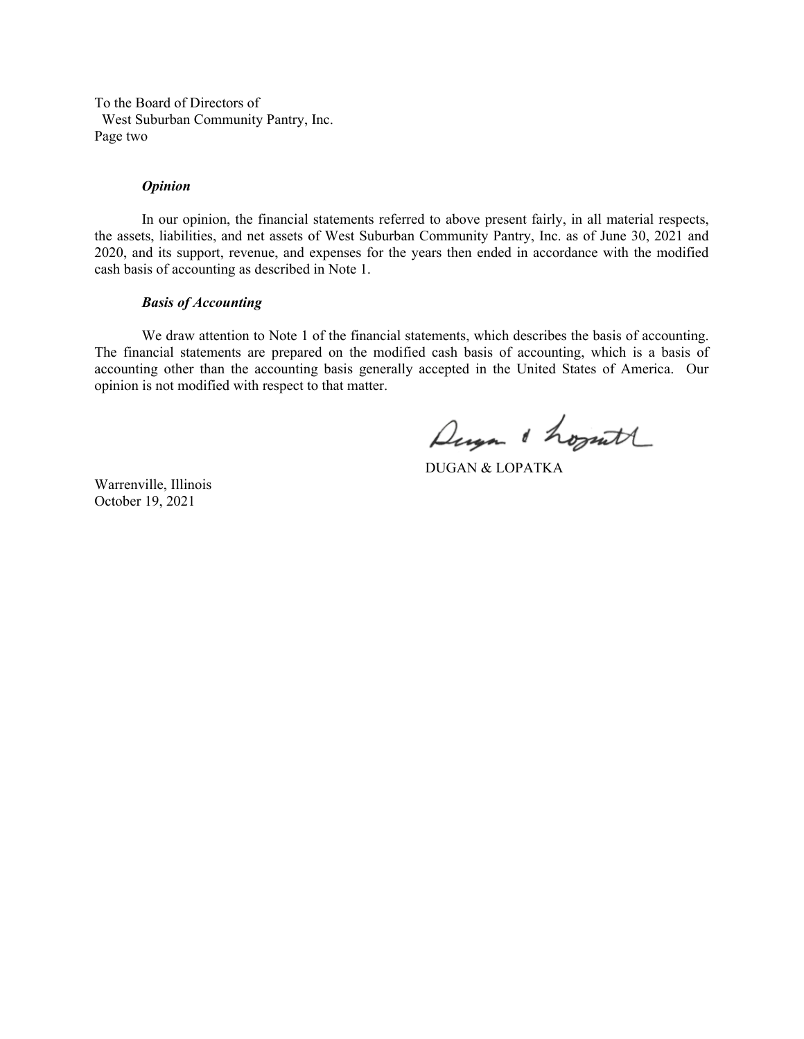To the Board of Directors of West Suburban Community Pantry, Inc. Page two

#### *Opinion*

 In our opinion, the financial statements referred to above present fairly, in all material respects, the assets, liabilities, and net assets of West Suburban Community Pantry, Inc. as of June 30, 2021 and 2020, and its support, revenue, and expenses for the years then ended in accordance with the modified cash basis of accounting as described in Note 1.

## *Basis of Accounting*

 We draw attention to Note 1 of the financial statements, which describes the basis of accounting. The financial statements are prepared on the modified cash basis of accounting, which is a basis of accounting other than the accounting basis generally accepted in the United States of America. Our opinion is not modified with respect to that matter.

Duga & hosatt

DUGAN & LOPATKA

Warrenville, Illinois October 19, 2021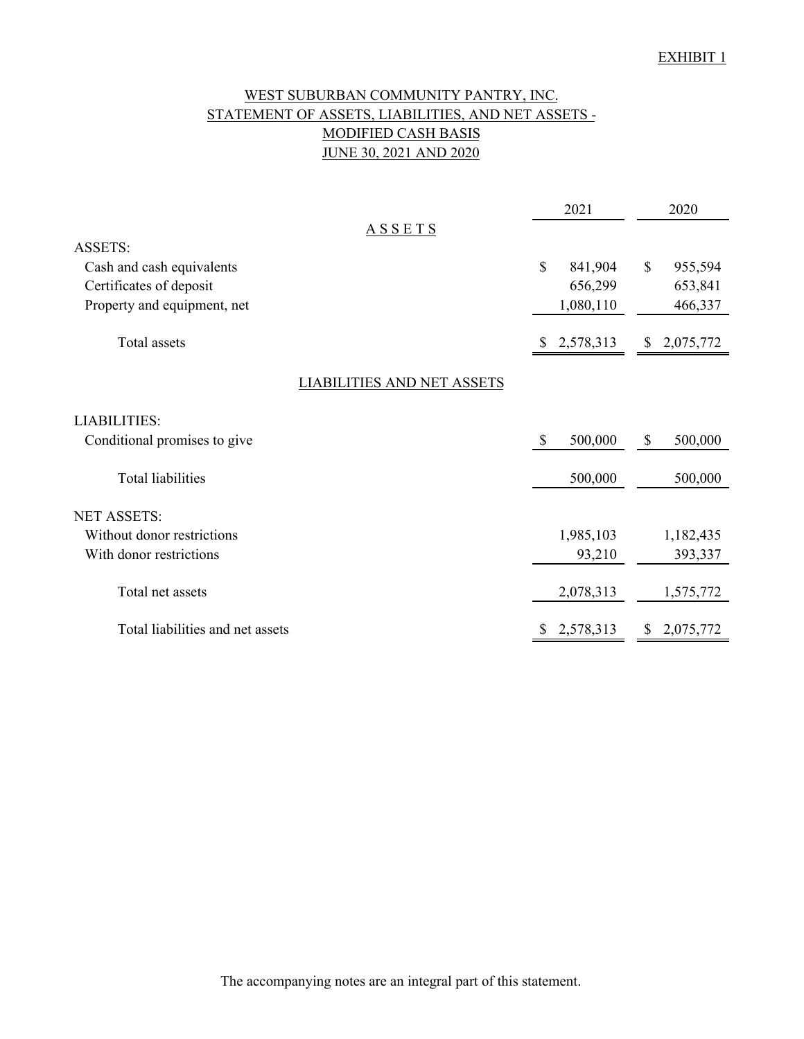# MODIFIED CASH BASIS WEST SUBURBAN COMMUNITY PANTRY, INC. STATEMENT OF ASSETS, LIABILITIES, AND NET ASSETS - JUNE 30, 2021 AND 2020

|                                   | 2021          |           |               | 2020      |
|-----------------------------------|---------------|-----------|---------------|-----------|
| <b>ASSETS</b>                     |               |           |               |           |
| <b>ASSETS:</b>                    |               |           |               |           |
| Cash and cash equivalents         | \$            | 841,904   | \$            | 955,594   |
| Certificates of deposit           |               | 656,299   |               | 653,841   |
| Property and equipment, net       |               | 1,080,110 |               | 466,337   |
| Total assets                      | S.            | 2,578,313 | \$            | 2,075,772 |
| <b>LIABILITIES AND NET ASSETS</b> |               |           |               |           |
| <b>LIABILITIES:</b>               |               |           |               |           |
| Conditional promises to give      | $\mathcal{S}$ | 500,000   | $\mathcal{S}$ | 500,000   |
| <b>Total liabilities</b>          |               | 500,000   |               | 500,000   |
| <b>NET ASSETS:</b>                |               |           |               |           |
| Without donor restrictions        |               | 1,985,103 |               | 1,182,435 |
| With donor restrictions           |               | 93,210    |               | 393,337   |
| Total net assets                  |               | 2,078,313 |               | 1,575,772 |
| Total liabilities and net assets  |               | 2,578,313 | S             | 2,075,772 |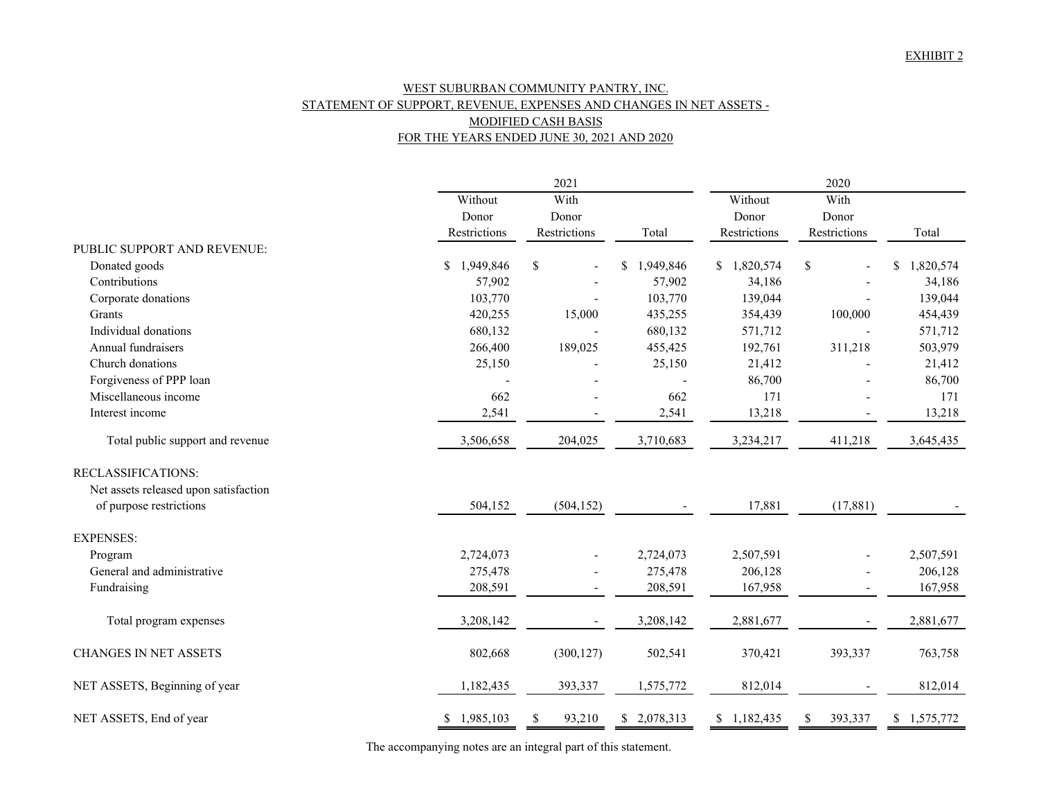## WEST SUBURBAN COMMUNITY PANTRY, INC. STATEMENT OF SUPPORT, REVENUE, EXPENSES AND CHANGES IN NET ASSETS - <u>MODIFIED CASH BASIS</u> FOR THE YEARS ENDED JUNE 30, 2021 AND 2020

|                                       | 2021            |                          |                 | 2020         |               |                 |
|---------------------------------------|-----------------|--------------------------|-----------------|--------------|---------------|-----------------|
|                                       | With<br>Without |                          | Without         | With         |               |                 |
|                                       | Donor           | Donor                    |                 | Donor        | Donor         |                 |
|                                       | Restrictions    | Restrictions             | Total           | Restrictions | Restrictions  | Total           |
| PUBLIC SUPPORT AND REVENUE:           |                 |                          |                 |              |               |                 |
| Donated goods                         | \$<br>1,949,846 | \$                       | 1,949,846<br>\$ | \$1,820,574  | \$<br>$\sim$  | \$<br>1,820,574 |
| Contributions                         | 57,902          |                          | 57,902          | 34,186       |               | 34,186          |
| Corporate donations                   | 103,770         |                          | 103,770         | 139,044      |               | 139,044         |
| Grants                                | 420,255         | 15,000                   | 435,255         | 354,439      | 100,000       | 454,439         |
| Individual donations                  | 680,132         |                          | 680,132         | 571,712      |               | 571,712         |
| Annual fundraisers                    | 266,400         | 189,025                  | 455,425         | 192,761      | 311,218       | 503,979         |
| Church donations                      | 25,150          |                          | 25,150          | 21,412       |               | 21,412          |
| Forgiveness of PPP loan               |                 |                          |                 | 86,700       |               | 86,700          |
| Miscellaneous income                  | 662             |                          | 662             | 171          |               | 171             |
| Interest income                       | 2,541           |                          | 2,541           | 13,218       |               | 13,218          |
| Total public support and revenue      | 3,506,658       | 204,025                  | 3,710,683       | 3,234,217    | 411,218       | 3,645,435       |
| RECLASSIFICATIONS:                    |                 |                          |                 |              |               |                 |
| Net assets released upon satisfaction |                 |                          |                 |              |               |                 |
| of purpose restrictions               | 504,152         | (504, 152)               |                 | 17,881       | (17, 881)     |                 |
| <b>EXPENSES:</b>                      |                 |                          |                 |              |               |                 |
| Program                               | 2,724,073       |                          | 2,724,073       | 2,507,591    |               | 2,507,591       |
| General and administrative            | 275,478         |                          | 275,478         | 206,128      |               | 206,128         |
| Fundraising                           | 208,591         |                          | 208,591         | 167,958      |               | 167,958         |
| Total program expenses                | 3,208,142       | $\overline{\phantom{a}}$ | 3,208,142       | 2,881,677    |               | 2,881,677       |
| CHANGES IN NET ASSETS                 | 802,668         | (300, 127)               | 502,541         | 370,421      | 393,337       | 763,758         |
| NET ASSETS, Beginning of year         | 1,182,435       | 393,337                  | 1,575,772       | 812,014      |               | 812,014         |
| NET ASSETS, End of year               | \$1,985,103     | 93,210<br><sup>\$</sup>  | \$2,078,313     | \$1,182,435  | 393,337<br>\$ | \$1,575,772     |

The accompanying notes are an integral part of this statement.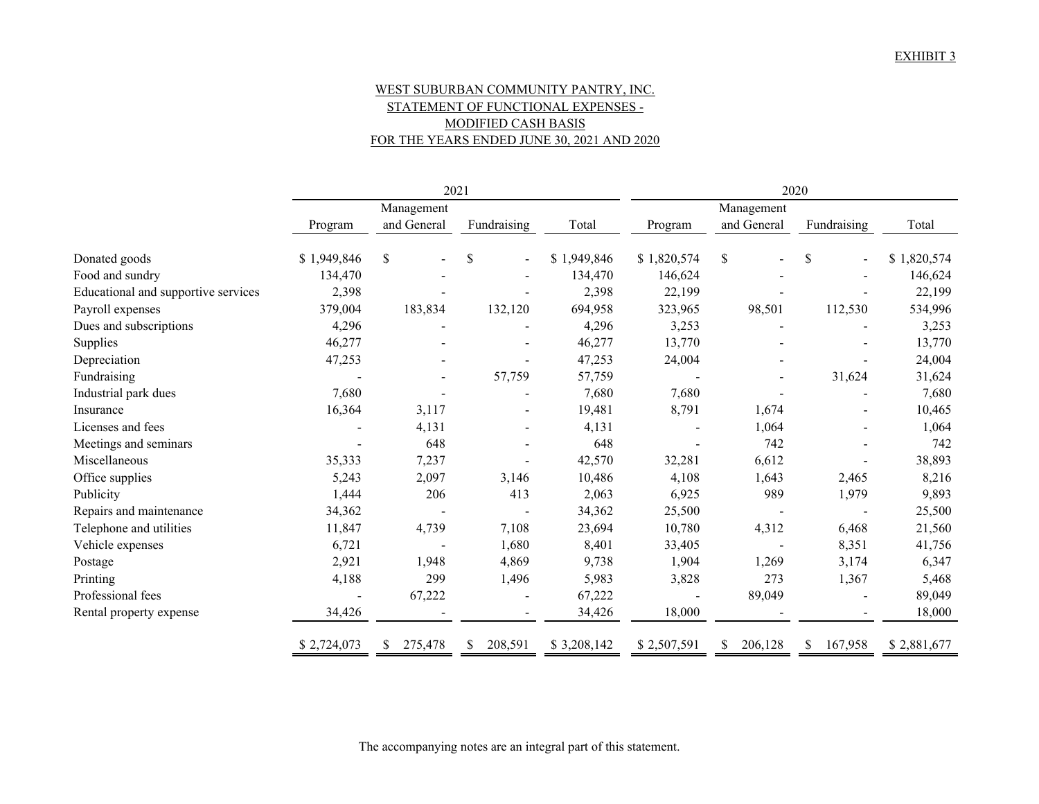## STATEMENT OF FUNCTIONAL EXPENSES - MODIFIED CASH BASIS FOR THE YEARS ENDED JUNE 30, 2021 AND 2020 WEST SUBURBAN COMMUNITY PANTRY, INC.

|                                     | 2021        |                                |                      | 2020        |             |             |              |             |
|-------------------------------------|-------------|--------------------------------|----------------------|-------------|-------------|-------------|--------------|-------------|
|                                     | Management  |                                |                      |             |             | Management  |              |             |
|                                     | Program     | and General                    | Fundraising          | Total       | Program     | and General | Fundraising  | Total       |
| Donated goods                       | \$1,949,846 | $\mathbb{S}$<br>$\blacksquare$ | \$<br>$\blacksquare$ | \$1,949,846 | \$1,820,574 | \$          | \$           | \$1,820,574 |
| Food and sundry                     | 134,470     |                                |                      | 134,470     | 146,624     |             |              | 146,624     |
| Educational and supportive services | 2,398       |                                |                      | 2,398       | 22,199      |             |              | 22,199      |
| Payroll expenses                    | 379,004     | 183,834                        | 132,120              | 694,958     | 323,965     | 98,501      | 112,530      | 534,996     |
| Dues and subscriptions              | 4,296       |                                |                      | 4,296       | 3,253       |             |              | 3,253       |
| Supplies                            | 46,277      |                                |                      | 46,277      | 13,770      |             |              | 13,770      |
| Depreciation                        | 47,253      |                                |                      | 47,253      | 24,004      |             |              | 24,004      |
| Fundraising                         |             | $\qquad \qquad \blacksquare$   | 57,759               | 57,759      |             |             | 31,624       | 31,624      |
| Industrial park dues                | 7,680       |                                |                      | 7,680       | 7,680       |             |              | 7,680       |
| Insurance                           | 16,364      | 3,117                          |                      | 19,481      | 8,791       | 1,674       |              | 10,465      |
| Licenses and fees                   |             | 4,131                          | $\blacksquare$       | 4,131       |             | 1,064       | ÷.           | 1,064       |
| Meetings and seminars               |             | 648                            |                      | 648         |             | 742         |              | 742         |
| Miscellaneous                       | 35,333      | 7,237                          |                      | 42,570      | 32,281      | 6,612       |              | 38,893      |
| Office supplies                     | 5,243       | 2,097                          | 3,146                | 10,486      | 4,108       | 1,643       | 2,465        | 8,216       |
| Publicity                           | 1,444       | 206                            | 413                  | 2,063       | 6,925       | 989         | 1,979        | 9,893       |
| Repairs and maintenance             | 34,362      |                                |                      | 34,362      | 25,500      |             |              | 25,500      |
| Telephone and utilities             | 11,847      | 4,739                          | 7,108                | 23,694      | 10,780      | 4,312       | 6,468        | 21,560      |
| Vehicle expenses                    | 6,721       |                                | 1,680                | 8,401       | 33,405      |             | 8,351        | 41,756      |
| Postage                             | 2,921       | 1,948                          | 4,869                | 9,738       | 1,904       | 1,269       | 3,174        | 6,347       |
| Printing                            | 4,188       | 299                            | 1,496                | 5,983       | 3,828       | 273         | 1,367        | 5,468       |
| Professional fees                   |             | 67,222                         |                      | 67,222      |             | 89,049      |              | 89,049      |
| Rental property expense             | 34,426      |                                |                      | 34,426      | 18,000      |             |              | 18,000      |
|                                     | \$2,724,073 | 275,478                        | 208,591              | \$3,208,142 | \$2,507,591 | 206,128     | 167,958<br>S | \$2,881,677 |

The accompanying notes are an integral part of this statement.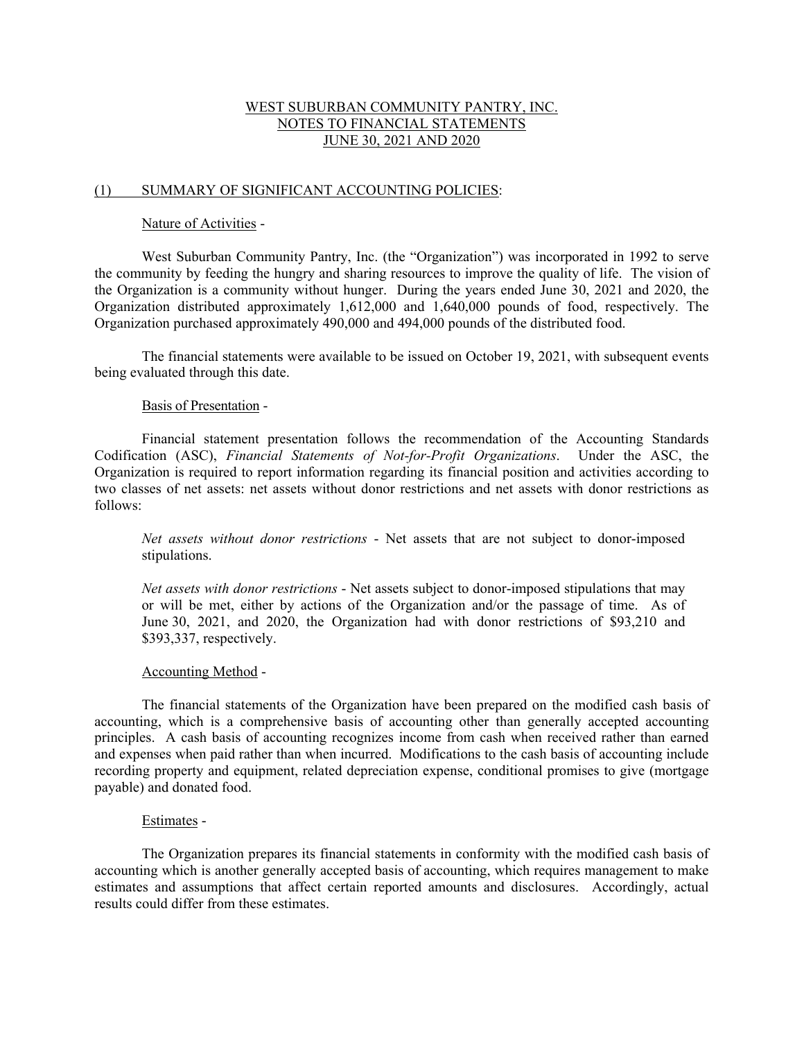## WEST SUBURBAN COMMUNITY PANTRY, INC. NOTES TO FINANCIAL STATEMENTS JUNE 30, 2021 AND 2020

### (1) SUMMARY OF SIGNIFICANT ACCOUNTING POLICIES:

## Nature of Activities -

West Suburban Community Pantry, Inc. (the "Organization") was incorporated in 1992 to serve the community by feeding the hungry and sharing resources to improve the quality of life. The vision of the Organization is a community without hunger. During the years ended June 30, 2021 and 2020, the Organization distributed approximately 1,612,000 and 1,640,000 pounds of food, respectively. The Organization purchased approximately 490,000 and 494,000 pounds of the distributed food.

The financial statements were available to be issued on October 19, 2021, with subsequent events being evaluated through this date.

### Basis of Presentation -

Financial statement presentation follows the recommendation of the Accounting Standards Codification (ASC), *Financial Statements of Not-for-Profit Organizations*. Under the ASC, the Organization is required to report information regarding its financial position and activities according to two classes of net assets: net assets without donor restrictions and net assets with donor restrictions as follows:

*Net assets without donor restrictions* - Net assets that are not subject to donor-imposed stipulations.

*Net assets with donor restrictions* - Net assets subject to donor-imposed stipulations that may or will be met, either by actions of the Organization and/or the passage of time. As of June 30, 2021, and 2020, the Organization had with donor restrictions of \$93,210 and \$393,337, respectively.

#### Accounting Method -

 The financial statements of the Organization have been prepared on the modified cash basis of accounting, which is a comprehensive basis of accounting other than generally accepted accounting principles. A cash basis of accounting recognizes income from cash when received rather than earned and expenses when paid rather than when incurred. Modifications to the cash basis of accounting include recording property and equipment, related depreciation expense, conditional promises to give (mortgage payable) and donated food.

## Estimates -

 The Organization prepares its financial statements in conformity with the modified cash basis of accounting which is another generally accepted basis of accounting, which requires management to make estimates and assumptions that affect certain reported amounts and disclosures. Accordingly, actual results could differ from these estimates.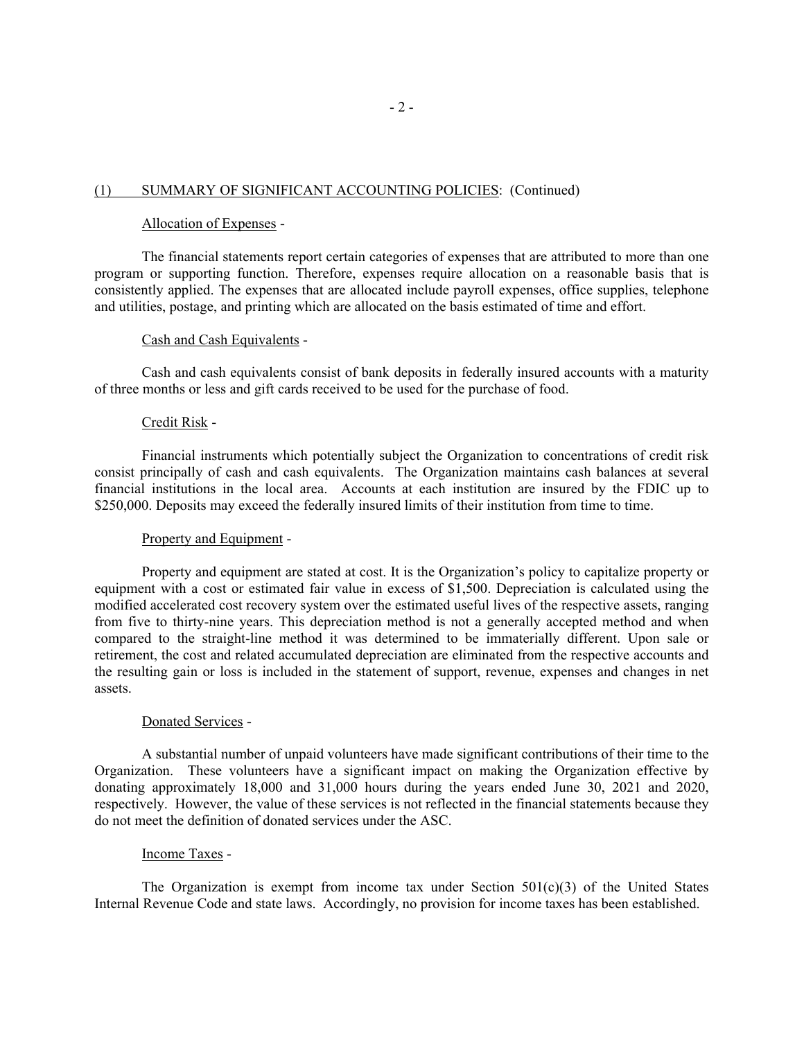### (1) SUMMARY OF SIGNIFICANT ACCOUNTING POLICIES: (Continued)

## Allocation of Expenses -

The financial statements report certain categories of expenses that are attributed to more than one program or supporting function. Therefore, expenses require allocation on a reasonable basis that is consistently applied. The expenses that are allocated include payroll expenses, office supplies, telephone and utilities, postage, and printing which are allocated on the basis estimated of time and effort.

### Cash and Cash Equivalents -

Cash and cash equivalents consist of bank deposits in federally insured accounts with a maturity of three months or less and gift cards received to be used for the purchase of food.

#### Credit Risk -

 Financial instruments which potentially subject the Organization to concentrations of credit risk consist principally of cash and cash equivalents. The Organization maintains cash balances at several financial institutions in the local area. Accounts at each institution are insured by the FDIC up to \$250,000. Deposits may exceed the federally insured limits of their institution from time to time.

## Property and Equipment -

 Property and equipment are stated at cost. It is the Organization's policy to capitalize property or equipment with a cost or estimated fair value in excess of \$1,500. Depreciation is calculated using the modified accelerated cost recovery system over the estimated useful lives of the respective assets, ranging from five to thirty-nine years. This depreciation method is not a generally accepted method and when compared to the straight-line method it was determined to be immaterially different. Upon sale or retirement, the cost and related accumulated depreciation are eliminated from the respective accounts and the resulting gain or loss is included in the statement of support, revenue, expenses and changes in net assets.

### Donated Services -

 A substantial number of unpaid volunteers have made significant contributions of their time to the Organization. These volunteers have a significant impact on making the Organization effective by donating approximately 18,000 and 31,000 hours during the years ended June 30, 2021 and 2020, respectively. However, the value of these services is not reflected in the financial statements because they do not meet the definition of donated services under the ASC.

#### Income Taxes -

The Organization is exempt from income tax under Section  $501(c)(3)$  of the United States Internal Revenue Code and state laws. Accordingly, no provision for income taxes has been established.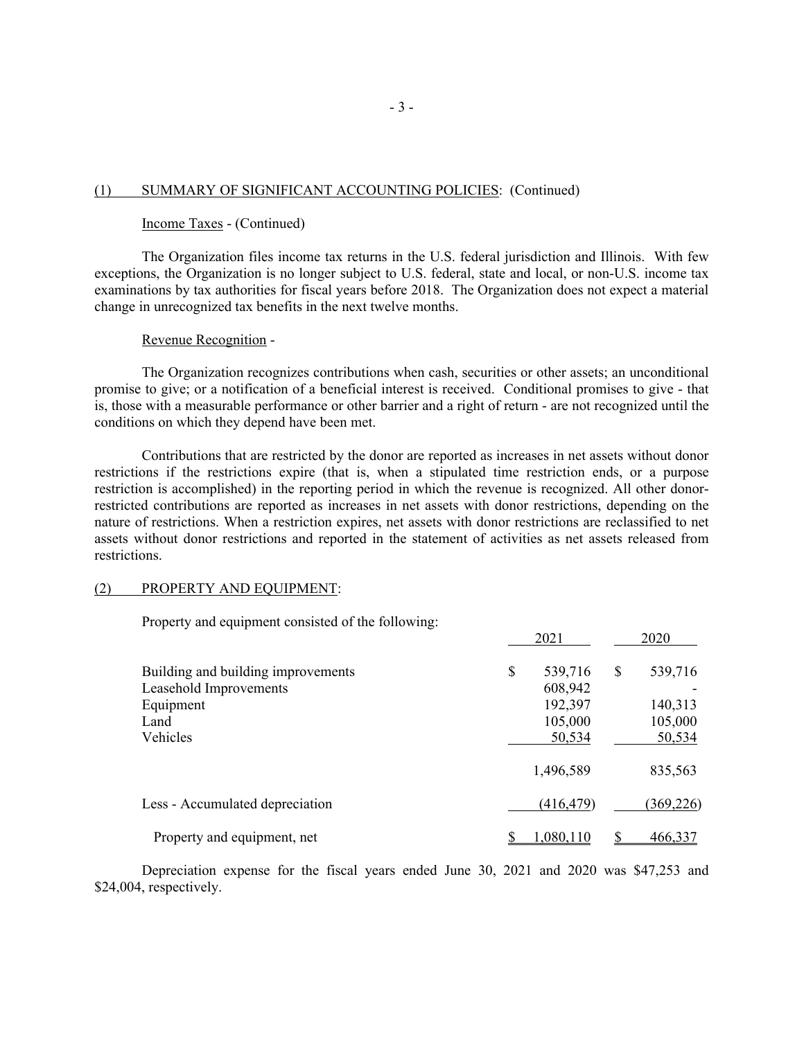### (1) SUMMARY OF SIGNIFICANT ACCOUNTING POLICIES: (Continued)

## Income Taxes - (Continued)

The Organization files income tax returns in the U.S. federal jurisdiction and Illinois. With few exceptions, the Organization is no longer subject to U.S. federal, state and local, or non-U.S. income tax examinations by tax authorities for fiscal years before 2018. The Organization does not expect a material change in unrecognized tax benefits in the next twelve months.

Revenue Recognition -

The Organization recognizes contributions when cash, securities or other assets; an unconditional promise to give; or a notification of a beneficial interest is received. Conditional promises to give - that is, those with a measurable performance or other barrier and a right of return - are not recognized until the conditions on which they depend have been met.

Contributions that are restricted by the donor are reported as increases in net assets without donor restrictions if the restrictions expire (that is, when a stipulated time restriction ends, or a purpose restriction is accomplished) in the reporting period in which the revenue is recognized. All other donorrestricted contributions are reported as increases in net assets with donor restrictions, depending on the nature of restrictions. When a restriction expires, net assets with donor restrictions are reclassified to net assets without donor restrictions and reported in the statement of activities as net assets released from restrictions.

#### (2) PROPERTY AND EQUIPMENT:

Property and equipment consisted of the following:

|                                    |    | 2021       |   | 2020       |
|------------------------------------|----|------------|---|------------|
| Building and building improvements | \$ | 539,716    | S | 539,716    |
| Leasehold Improvements             |    | 608,942    |   |            |
| Equipment                          |    | 192,397    |   | 140,313    |
| Land                               |    | 105,000    |   | 105,000    |
| Vehicles                           |    | 50,534     |   | 50,534     |
|                                    |    | 1,496,589  |   | 835,563    |
| Less - Accumulated depreciation    |    | (416, 479) |   | (369, 226) |
| Property and equipment, net        |    | 1,080,110  |   | 466,337    |

 Depreciation expense for the fiscal years ended June 30, 2021 and 2020 was \$47,253 and \$24,004, respectively.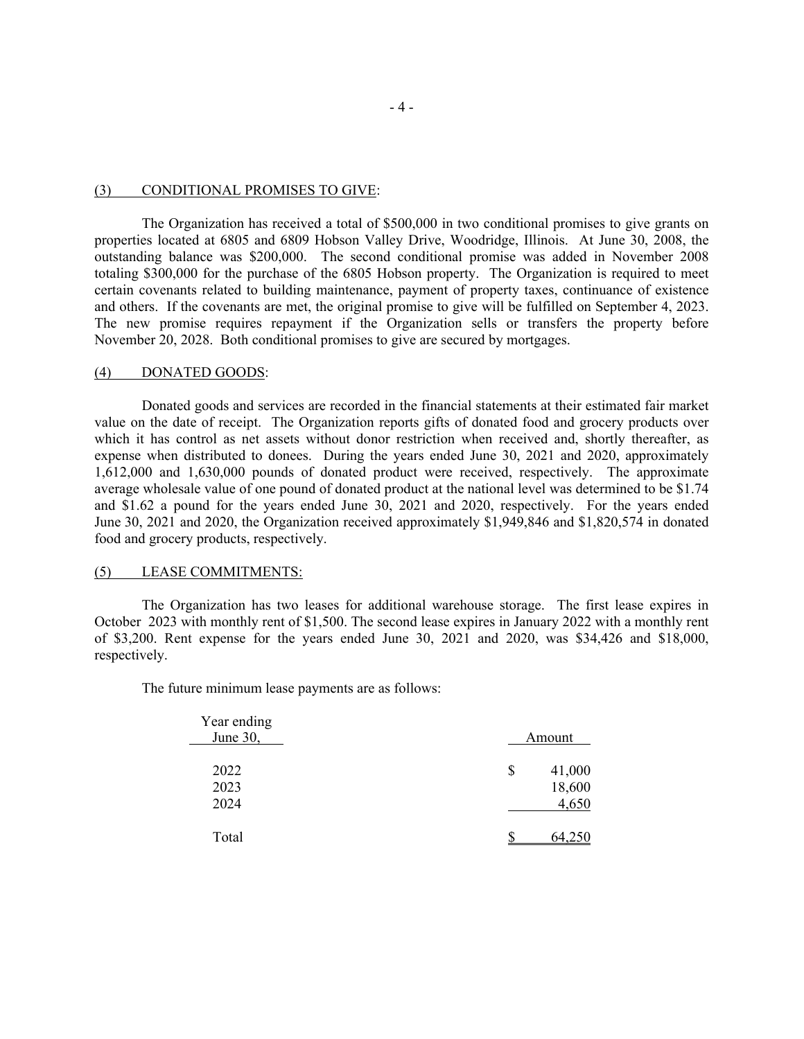#### (3) CONDITIONAL PROMISES TO GIVE:

The Organization has received a total of \$500,000 in two conditional promises to give grants on properties located at 6805 and 6809 Hobson Valley Drive, Woodridge, Illinois. At June 30, 2008, the outstanding balance was \$200,000. The second conditional promise was added in November 2008 totaling \$300,000 for the purchase of the 6805 Hobson property. The Organization is required to meet certain covenants related to building maintenance, payment of property taxes, continuance of existence and others. If the covenants are met, the original promise to give will be fulfilled on September 4, 2023. The new promise requires repayment if the Organization sells or transfers the property before November 20, 2028. Both conditional promises to give are secured by mortgages.

#### (4) DONATED GOODS:

 Donated goods and services are recorded in the financial statements at their estimated fair market value on the date of receipt. The Organization reports gifts of donated food and grocery products over which it has control as net assets without donor restriction when received and, shortly thereafter, as expense when distributed to donees. During the years ended June 30, 2021 and 2020, approximately 1,612,000 and 1,630,000 pounds of donated product were received, respectively. The approximate average wholesale value of one pound of donated product at the national level was determined to be \$1.74 and \$1.62 a pound for the years ended June 30, 2021 and 2020, respectively. For the years ended June 30, 2021 and 2020, the Organization received approximately \$1,949,846 and \$1,820,574 in donated food and grocery products, respectively.

#### (5) LEASE COMMITMENTS:

The Organization has two leases for additional warehouse storage. The first lease expires in October 2023 with monthly rent of \$1,500. The second lease expires in January 2022 with a monthly rent of \$3,200. Rent expense for the years ended June 30, 2021 and 2020, was \$34,426 and \$18,000, respectively.

The future minimum lease payments are as follows:

| Year ending<br>June 30, | Amount             |
|-------------------------|--------------------|
| 2022                    | \$<br>41,000       |
| 2023                    | 18,600             |
| 2024                    | 4,650              |
| Total                   | ፍ<br><u>64,250</u> |